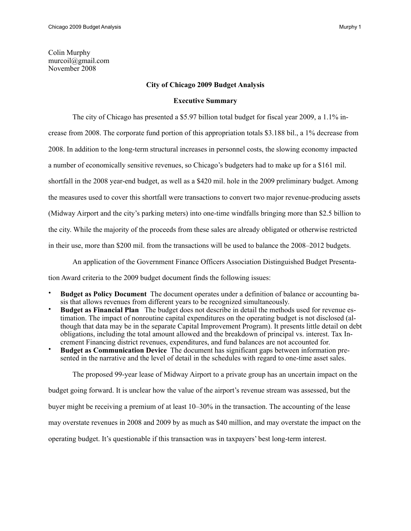# **City of Chicago 2009 Budget Analysis**

# **Executive Summary**

The city of Chicago has presented a \$5.97 billion total budget for fiscal year 2009, a 1.1% in-

crease from 2008. The corporate fund portion of this appropriation totals \$3.188 bil., a 1% decrease from

2008. In addition to the long-term structural increases in personnel costs, the slowing economy impacted

a number of economically sensitive revenues, so Chicago's budgeters had to make up for a \$161 mil.

shortfall in the 2008 year-end budget, as well as a \$420 mil. hole in the 2009 preliminary budget. Among

the measures used to cover this shortfall were transactions to convert two major revenue-producing assets

(Midway Airport and the city's parking meters) into one-time windfalls bringing more than \$2.5 billion to

the city. While the majority of the proceeds from these sales are already obligated or otherwise restricted

in their use, more than \$200 mil. from the transactions will be used to balance the 2008–2012 budgets.

An application of the Government Finance Officers Association Distinguished Budget Presenta-

tion Award criteria to the 2009 budget document finds the following issues:

- **Budget as Policy Document** The document operates under a definition of balance or accounting basis that allows revenues from different years to be recognized simultaneously.
- **Budget as Financial Plan** The budget does not describe in detail the methods used for revenue estimation. The impact of nonroutine capital expenditures on the operating budget is not disclosed (although that data may be in the separate Capital Improvement Program). It presents little detail on debt obligations, including the total amount allowed and the breakdown of principal vs. interest. Tax Increment Financing district revenues, expenditures, and fund balances are not accounted for.
- **Budget as Communication Device** The document has significant gaps between information presented in the narrative and the level of detail in the schedules with regard to one-time asset sales.

The proposed 99-year lease of Midway Airport to a private group has an uncertain impact on the

budget going forward. It is unclear how the value of the airport's revenue stream was assessed, but the

buyer might be receiving a premium of at least 10–30% in the transaction. The accounting of the lease

may overstate revenues in 2008 and 2009 by as much as \$40 million, and may overstate the impact on the

operating budget. It's questionable if this transaction was in taxpayers' best long-term interest.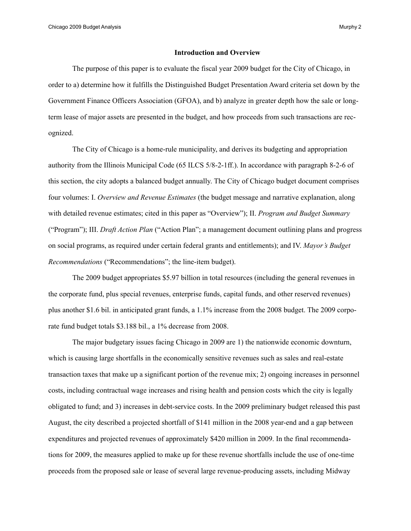#### **Introduction and Overview**

 The purpose of this paper is to evaluate the fiscal year 2009 budget for the City of Chicago, in order to a) determine how it fulfills the Distinguished Budget Presentation Award criteria set down by the Government Finance Officers Association (GFOA), and b) analyze in greater depth how the sale or longterm lease of major assets are presented in the budget, and how proceeds from such transactions are recognized.

 The City of Chicago is a home-rule municipality, and derives its budgeting and appropriation authority from the Illinois Municipal Code (65 ILCS 5/8-2-1ff.). In accordance with paragraph 8-2-6 of this section, the city adopts a balanced budget annually. The City of Chicago budget document comprises four volumes: I. *Overview and Revenue Estimates* (the budget message and narrative explanation, along with detailed revenue estimates; cited in this paper as "Overview"); II. *Program and Budget Summary* ("Program"); III. *Draft Action Plan* ("Action Plan"; a management document outlining plans and progress on social programs, as required under certain federal grants and entitlements); and IV. *Mayor's Budget Recommendations* ("Recommendations"; the line-item budget).

 The 2009 budget appropriates \$5.97 billion in total resources (including the general revenues in the corporate fund, plus special revenues, enterprise funds, capital funds, and other reserved revenues) plus another \$1.6 bil. in anticipated grant funds, a 1.1% increase from the 2008 budget. The 2009 corporate fund budget totals \$3.188 bil., a 1% decrease from 2008.

 The major budgetary issues facing Chicago in 2009 are 1) the nationwide economic downturn, which is causing large shortfalls in the economically sensitive revenues such as sales and real-estate transaction taxes that make up a significant portion of the revenue mix; 2) ongoing increases in personnel costs, including contractual wage increases and rising health and pension costs which the city is legally obligated to fund; and 3) increases in debt-service costs. In the 2009 preliminary budget released this past August, the city described a projected shortfall of \$141 million in the 2008 year-end and a gap between expenditures and projected revenues of approximately \$420 million in 2009. In the final recommendations for 2009, the measures applied to make up for these revenue shortfalls include the use of one-time proceeds from the proposed sale or lease of several large revenue-producing assets, including Midway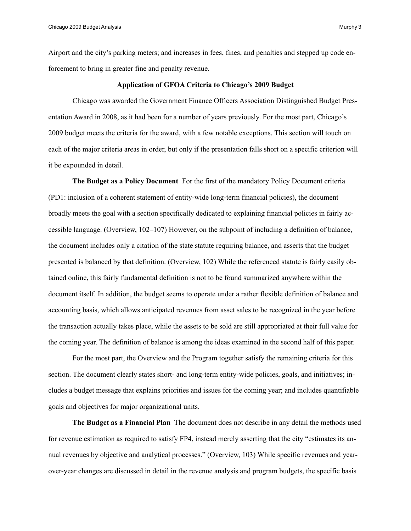Airport and the city's parking meters; and increases in fees, fines, and penalties and stepped up code enforcement to bring in greater fine and penalty revenue.

### **Application of GFOA Criteria to Chicago's 2009 Budget**

 Chicago was awarded the Government Finance Officers Association Distinguished Budget Presentation Award in 2008, as it had been for a number of years previously. For the most part, Chicago's 2009 budget meets the criteria for the award, with a few notable exceptions. This section will touch on each of the major criteria areas in order, but only if the presentation falls short on a specific criterion will it be expounded in detail.

 **The Budget as a Policy Document** For the first of the mandatory Policy Document criteria (PD1: inclusion of a coherent statement of entity-wide long-term financial policies), the document broadly meets the goal with a section specifically dedicated to explaining financial policies in fairly accessible language. (Overview, 102–107) However, on the subpoint of including a definition of balance, the document includes only a citation of the state statute requiring balance, and asserts that the budget presented is balanced by that definition. (Overview, 102) While the referenced statute is fairly easily obtained online, this fairly fundamental definition is not to be found summarized anywhere within the document itself. In addition, the budget seems to operate under a rather flexible definition of balance and accounting basis, which allows anticipated revenues from asset sales to be recognized in the year before the transaction actually takes place, while the assets to be sold are still appropriated at their full value for the coming year. The definition of balance is among the ideas examined in the second half of this paper.

 For the most part, the Overview and the Program together satisfy the remaining criteria for this section. The document clearly states short- and long-term entity-wide policies, goals, and initiatives; includes a budget message that explains priorities and issues for the coming year; and includes quantifiable goals and objectives for major organizational units.

 **The Budget as a Financial Plan** The document does not describe in any detail the methods used for revenue estimation as required to satisfy FP4, instead merely asserting that the city "estimates its annual revenues by objective and analytical processes." (Overview, 103) While specific revenues and yearover-year changes are discussed in detail in the revenue analysis and program budgets, the specific basis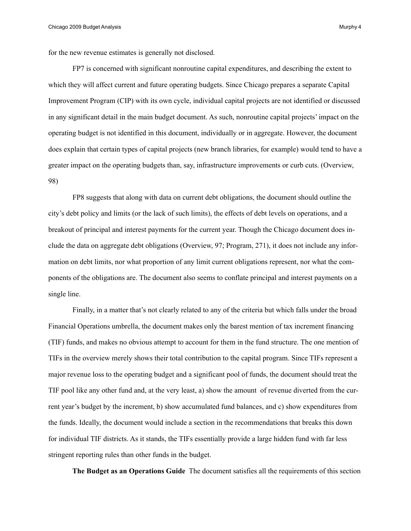for the new revenue estimates is generally not disclosed.

FP7 is concerned with significant nonroutine capital expenditures, and describing the extent to which they will affect current and future operating budgets. Since Chicago prepares a separate Capital Improvement Program (CIP) with its own cycle, individual capital projects are not identified or discussed in any significant detail in the main budget document. As such, nonroutine capital projects' impact on the operating budget is not identified in this document, individually or in aggregate. However, the document does explain that certain types of capital projects (new branch libraries, for example) would tend to have a greater impact on the operating budgets than, say, infrastructure improvements or curb cuts. (Overview, 98)

FP8 suggests that along with data on current debt obligations, the document should outline the city's debt policy and limits (or the lack of such limits), the effects of debt levels on operations, and a breakout of principal and interest payments for the current year. Though the Chicago document does include the data on aggregate debt obligations (Overview, 97; Program, 271), it does not include any information on debt limits, nor what proportion of any limit current obligations represent, nor what the components of the obligations are. The document also seems to conflate principal and interest payments on a single line.

 Finally, in a matter that's not clearly related to any of the criteria but which falls under the broad Financial Operations umbrella, the document makes only the barest mention of tax increment financing (TIF) funds, and makes no obvious attempt to account for them in the fund structure. The one mention of TIFs in the overview merely shows their total contribution to the capital program. Since TIFs represent a major revenue loss to the operating budget and a significant pool of funds, the document should treat the TIF pool like any other fund and, at the very least, a) show the amount of revenue diverted from the current year's budget by the increment, b) show accumulated fund balances, and c) show expenditures from the funds. Ideally, the document would include a section in the recommendations that breaks this down for individual TIF districts. As it stands, the TIFs essentially provide a large hidden fund with far less stringent reporting rules than other funds in the budget.

 **The Budget as an Operations Guide** The document satisfies all the requirements of this section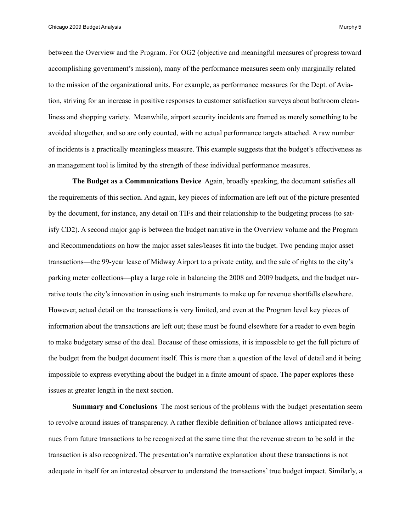between the Overview and the Program. For OG2 (objective and meaningful measures of progress toward accomplishing government's mission), many of the performance measures seem only marginally related to the mission of the organizational units. For example, as performance measures for the Dept. of Aviation, striving for an increase in positive responses to customer satisfaction surveys about bathroom cleanliness and shopping variety. Meanwhile, airport security incidents are framed as merely something to be avoided altogether, and so are only counted, with no actual performance targets attached. A raw number of incidents is a practically meaningless measure. This example suggests that the budget's effectiveness as an management tool is limited by the strength of these individual performance measures.

 **The Budget as a Communications Device** Again, broadly speaking, the document satisfies all the requirements of this section. And again, key pieces of information are left out of the picture presented by the document, for instance, any detail on TIFs and their relationship to the budgeting process (to satisfy CD2). A second major gap is between the budget narrative in the Overview volume and the Program and Recommendations on how the major asset sales/leases fit into the budget. Two pending major asset transactions—the 99-year lease of Midway Airport to a private entity, and the sale of rights to the city's parking meter collections—play a large role in balancing the 2008 and 2009 budgets, and the budget narrative touts the city's innovation in using such instruments to make up for revenue shortfalls elsewhere. However, actual detail on the transactions is very limited, and even at the Program level key pieces of information about the transactions are left out; these must be found elsewhere for a reader to even begin to make budgetary sense of the deal. Because of these omissions, it is impossible to get the full picture of the budget from the budget document itself. This is more than a question of the level of detail and it being impossible to express everything about the budget in a finite amount of space. The paper explores these issues at greater length in the next section.

 **Summary and Conclusions** The most serious of the problems with the budget presentation seem to revolve around issues of transparency. A rather flexible definition of balance allows anticipated revenues from future transactions to be recognized at the same time that the revenue stream to be sold in the transaction is also recognized. The presentation's narrative explanation about these transactions is not adequate in itself for an interested observer to understand the transactions' true budget impact. Similarly, a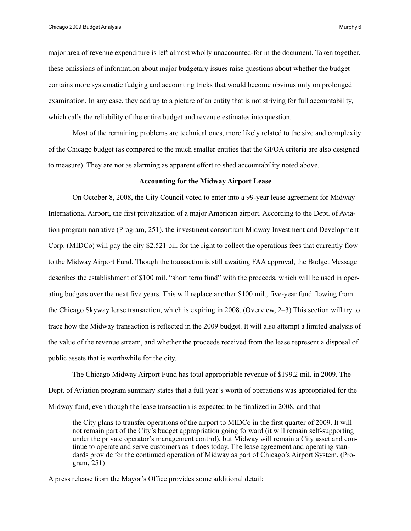major area of revenue expenditure is left almost wholly unaccounted-for in the document. Taken together, these omissions of information about major budgetary issues raise questions about whether the budget contains more systematic fudging and accounting tricks that would become obvious only on prolonged examination. In any case, they add up to a picture of an entity that is not striving for full accountability, which calls the reliability of the entire budget and revenue estimates into question.

 Most of the remaining problems are technical ones, more likely related to the size and complexity of the Chicago budget (as compared to the much smaller entities that the GFOA criteria are also designed to measure). They are not as alarming as apparent effort to shed accountability noted above.

## **Accounting for the Midway Airport Lease**

 On October 8, 2008, the City Council voted to enter into a 99-year lease agreement for Midway International Airport, the first privatization of a major American airport. According to the Dept. of Aviation program narrative (Program, 251), the investment consortium Midway Investment and Development Corp. (MIDCo) will pay the city \$2.521 bil. for the right to collect the operations fees that currently flow to the Midway Airport Fund. Though the transaction is still awaiting FAA approval, the Budget Message describes the establishment of \$100 mil. "short term fund" with the proceeds, which will be used in operating budgets over the next five years. This will replace another \$100 mil., five-year fund flowing from the Chicago Skyway lease transaction, which is expiring in 2008. (Overview, 2–3) This section will try to trace how the Midway transaction is reflected in the 2009 budget. It will also attempt a limited analysis of the value of the revenue stream, and whether the proceeds received from the lease represent a disposal of public assets that is worthwhile for the city.

 The Chicago Midway Airport Fund has total appropriable revenue of \$199.2 mil. in 2009. The Dept. of Aviation program summary states that a full year's worth of operations was appropriated for the Midway fund, even though the lease transaction is expected to be finalized in 2008, and that

the City plans to transfer operations of the airport to MIDCo in the first quarter of 2009. It will not remain part of the City's budget appropriation going forward (it will remain self-supporting under the private operator's management control), but Midway will remain a City asset and continue to operate and serve customers as it does today. The lease agreement and operating standards provide for the continued operation of Midway as part of Chicago's Airport System. (Program, 251)

A press release from the Mayor's Office provides some additional detail: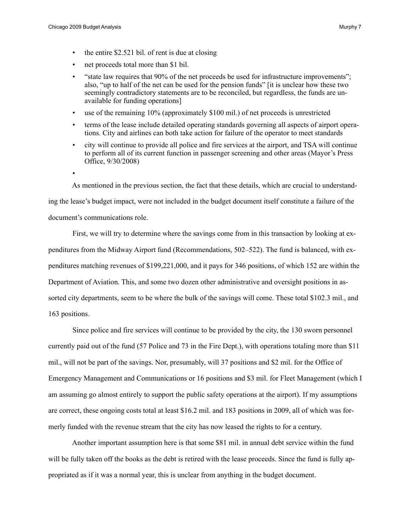- the entire \$2.521 bil. of rent is due at closing
- net proceeds total more than \$1 bil.
- "state law requires that 90% of the net proceeds be used for infrastructure improvements"; also, "up to half of the net can be used for the pension funds" [it is unclear how these two seemingly contradictory statements are to be reconciled, but regardless, the funds are unavailable for funding operations]
- use of the remaining 10% (approximately \$100 mil.) of net proceeds is unrestricted
- terms of the lease include detailed operating standards governing all aspects of airport operations. City and airlines can both take action for failure of the operator to meet standards
- city will continue to provide all police and fire services at the airport, and TSA will continue to perform all of its current function in passenger screening and other areas (Mayor's Press Office, 9/30/2008)
- •

As mentioned in the previous section, the fact that these details, which are crucial to understand-

ing the lease's budget impact, were not included in the budget document itself constitute a failure of the document's communications role.

 First, we will try to determine where the savings come from in this transaction by looking at expenditures from the Midway Airport fund (Recommendations, 502–522). The fund is balanced, with expenditures matching revenues of \$199,221,000, and it pays for 346 positions, of which 152 are within the Department of Aviation. This, and some two dozen other administrative and oversight positions in assorted city departments, seem to be where the bulk of the savings will come. These total \$102.3 mil., and 163 positions.

 Since police and fire services will continue to be provided by the city, the 130 sworn personnel currently paid out of the fund (57 Police and 73 in the Fire Dept.), with operations totaling more than \$11 mil., will not be part of the savings. Nor, presumably, will 37 positions and \$2 mil. for the Office of Emergency Management and Communications or 16 positions and \$3 mil. for Fleet Management (which I am assuming go almost entirely to support the public safety operations at the airport). If my assumptions are correct, these ongoing costs total at least \$16.2 mil. and 183 positions in 2009, all of which was formerly funded with the revenue stream that the city has now leased the rights to for a century.

 Another important assumption here is that some \$81 mil. in annual debt service within the fund will be fully taken off the books as the debt is retired with the lease proceeds. Since the fund is fully appropriated as if it was a normal year, this is unclear from anything in the budget document.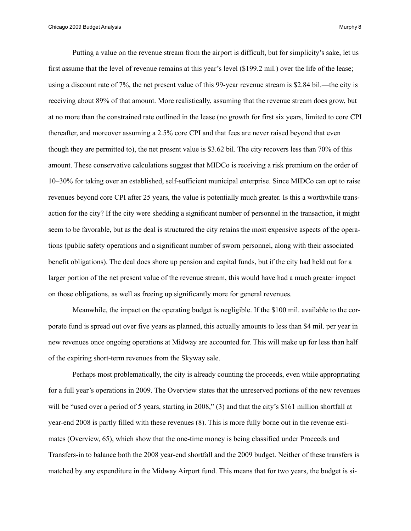Putting a value on the revenue stream from the airport is difficult, but for simplicity's sake, let us first assume that the level of revenue remains at this year's level (\$199.2 mil.) over the life of the lease; using a discount rate of 7%, the net present value of this 99-year revenue stream is \$2.84 bil.—the city is receiving about 89% of that amount. More realistically, assuming that the revenue stream does grow, but at no more than the constrained rate outlined in the lease (no growth for first six years, limited to core CPI thereafter, and moreover assuming a 2.5% core CPI and that fees are never raised beyond that even though they are permitted to), the net present value is \$3.62 bil. The city recovers less than 70% of this amount. These conservative calculations suggest that MIDCo is receiving a risk premium on the order of 10–30% for taking over an established, self-sufficient municipal enterprise. Since MIDCo can opt to raise revenues beyond core CPI after 25 years, the value is potentially much greater. Is this a worthwhile transaction for the city? If the city were shedding a significant number of personnel in the transaction, it might seem to be favorable, but as the deal is structured the city retains the most expensive aspects of the operations (public safety operations and a significant number of sworn personnel, along with their associated benefit obligations). The deal does shore up pension and capital funds, but if the city had held out for a larger portion of the net present value of the revenue stream, this would have had a much greater impact on those obligations, as well as freeing up significantly more for general revenues.

 Meanwhile, the impact on the operating budget is negligible. If the \$100 mil. available to the corporate fund is spread out over five years as planned, this actually amounts to less than \$4 mil. per year in new revenues once ongoing operations at Midway are accounted for. This will make up for less than half of the expiring short-term revenues from the Skyway sale.

 Perhaps most problematically, the city is already counting the proceeds, even while appropriating for a full year's operations in 2009. The Overview states that the unreserved portions of the new revenues will be "used over a period of 5 years, starting in 2008," (3) and that the city's \$161 million shortfall at year-end 2008 is partly filled with these revenues (8). This is more fully borne out in the revenue estimates (Overview, 65), which show that the one-time money is being classified under Proceeds and Transfers-in to balance both the 2008 year-end shortfall and the 2009 budget. Neither of these transfers is matched by any expenditure in the Midway Airport fund. This means that for two years, the budget is si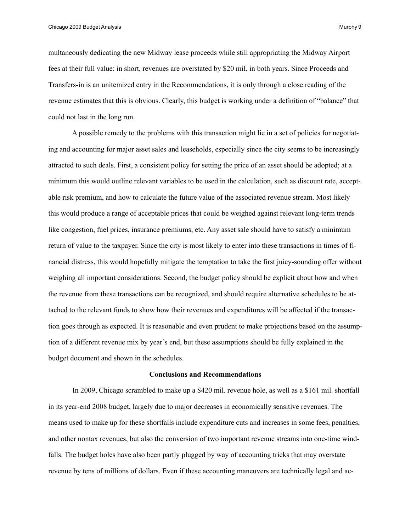Chicago 2009 Budget Analysis **Murphy 9** and the chicago 2009 Budget Analysis Murphy 9

multaneously dedicating the new Midway lease proceeds while still appropriating the Midway Airport fees at their full value: in short, revenues are overstated by \$20 mil. in both years. Since Proceeds and Transfers-in is an unitemized entry in the Recommendations, it is only through a close reading of the revenue estimates that this is obvious. Clearly, this budget is working under a definition of "balance" that could not last in the long run.

 A possible remedy to the problems with this transaction might lie in a set of policies for negotiating and accounting for major asset sales and leaseholds, especially since the city seems to be increasingly attracted to such deals. First, a consistent policy for setting the price of an asset should be adopted; at a minimum this would outline relevant variables to be used in the calculation, such as discount rate, acceptable risk premium, and how to calculate the future value of the associated revenue stream. Most likely this would produce a range of acceptable prices that could be weighed against relevant long-term trends like congestion, fuel prices, insurance premiums, etc. Any asset sale should have to satisfy a minimum return of value to the taxpayer. Since the city is most likely to enter into these transactions in times of financial distress, this would hopefully mitigate the temptation to take the first juicy-sounding offer without weighing all important considerations. Second, the budget policy should be explicit about how and when the revenue from these transactions can be recognized, and should require alternative schedules to be attached to the relevant funds to show how their revenues and expenditures will be affected if the transaction goes through as expected. It is reasonable and even prudent to make projections based on the assumption of a different revenue mix by year's end, but these assumptions should be fully explained in the budget document and shown in the schedules.

## **Conclusions and Recommendations**

 In 2009, Chicago scrambled to make up a \$420 mil. revenue hole, as well as a \$161 mil. shortfall in its year-end 2008 budget, largely due to major decreases in economically sensitive revenues. The means used to make up for these shortfalls include expenditure cuts and increases in some fees, penalties, and other nontax revenues, but also the conversion of two important revenue streams into one-time windfalls. The budget holes have also been partly plugged by way of accounting tricks that may overstate revenue by tens of millions of dollars. Even if these accounting maneuvers are technically legal and ac